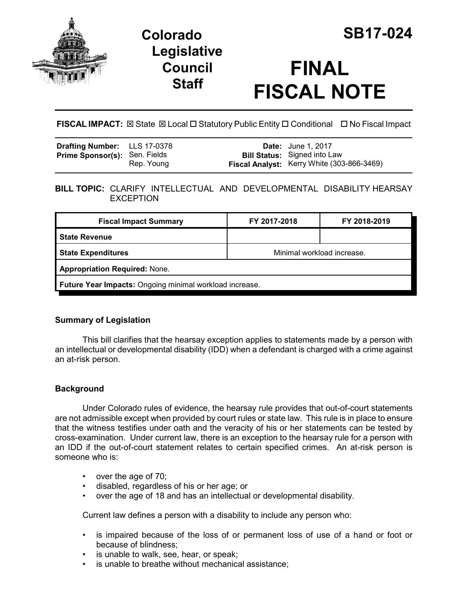

# **Colorado SB17-024 Legislative Council Staff**

# **FINAL FISCAL NOTE**

**FISCAL IMPACT:** ⊠ State ⊠ Local □ Statutory Public Entity □ Conditional □ No Fiscal Impact

| <b>Drafting Number:</b> LLS 17-0378  |            | <b>Date:</b> June 1, 2017                                                         |
|--------------------------------------|------------|-----------------------------------------------------------------------------------|
| <b>Prime Sponsor(s): Sen. Fields</b> | Rep. Young | <b>Bill Status:</b> Signed into Law<br>Fiscal Analyst: Kerry White (303-866-3469) |

# **BILL TOPIC:** CLARIFY INTELLECTUAL AND DEVELOPMENTAL DISABILITY HEARSAY **EXCEPTION**

| <b>Fiscal Impact Summary</b>                            | FY 2017-2018               | FY 2018-2019 |  |  |
|---------------------------------------------------------|----------------------------|--------------|--|--|
| <b>State Revenue</b>                                    |                            |              |  |  |
| <b>State Expenditures</b>                               | Minimal workload increase. |              |  |  |
| <b>Appropriation Required: None.</b>                    |                            |              |  |  |
| Future Year Impacts: Ongoing minimal workload increase. |                            |              |  |  |

# **Summary of Legislation**

This bill clarifies that the hearsay exception applies to statements made by a person with an intellectual or developmental disability (IDD) when a defendant is charged with a crime against an at-risk person.

# **Background**

Under Colorado rules of evidence, the hearsay rule provides that out-of-court statements are not admissible except when provided by court rules or state law. This rule is in place to ensure that the witness testifies under oath and the veracity of his or her statements can be tested by cross-examination. Under current law, there is an exception to the hearsay rule for a person with an IDD if the out-of-court statement relates to certain specified crimes. An at-risk person is someone who is:

- over the age of 70;
- disabled, regardless of his or her age; or
- over the age of 18 and has an intellectual or developmental disability.

Current law defines a person with a disability to include any person who:

- is impaired because of the loss of or permanent loss of use of a hand or foot or because of blindness;
- is unable to walk, see, hear, or speak;
- is unable to breathe without mechanical assistance;